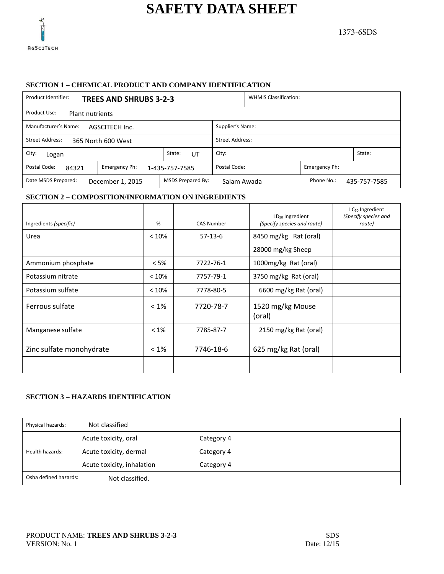

### **SECTION 1 – CHEMICAL PRODUCT AND COMPANY IDENTIFICATION**

| Product Identifier:<br><b>TREES AND SHRUBS 3-2-3</b>                                                      |              | <b>WHMIS Classification:</b> |  |  |        |  |
|-----------------------------------------------------------------------------------------------------------|--------------|------------------------------|--|--|--------|--|
| Product Use:<br><b>Plant nutrients</b>                                                                    |              |                              |  |  |        |  |
| Manufacturer's Name:<br>Supplier's Name:<br>AGSCITECH Inc.                                                |              |                              |  |  |        |  |
| <b>Street Address:</b><br>Street Address:<br>365 North 600 West                                           |              |                              |  |  |        |  |
| City:<br>Logan                                                                                            | State:<br>UT | City:                        |  |  | State: |  |
| Postal Code:<br>Postal Code:<br>Emergency Ph:<br>Emergency Ph:<br>84321<br>1-435-757-7585                 |              |                              |  |  |        |  |
| MSDS Prepared By:<br>Phone No.:<br>Date MSDS Prepared:<br>December 1, 2015<br>Salam Awada<br>435-757-7585 |              |                              |  |  |        |  |

### **SECTION 2 – COMPOSITION/INFORMATION ON INGREDIENTS**

| Ingredients (specific)   | %       | <b>CAS Number</b> | $LD_{50}$ Ingredient<br>(Specify species and route) | $LC_{50}$ Ingredient<br>(Specify species and<br>route) |
|--------------------------|---------|-------------------|-----------------------------------------------------|--------------------------------------------------------|
| Urea                     | < 10%   | $57-13-6$         | 8450 mg/kg Rat (oral)                               |                                                        |
|                          |         |                   | 28000 mg/kg Sheep                                   |                                                        |
| Ammonium phosphate       | $< 5\%$ | 7722-76-1         | 1000mg/kg Rat (oral)                                |                                                        |
| Potassium nitrate        | < 10%   | 7757-79-1         | 3750 mg/kg Rat (oral)                               |                                                        |
| Potassium sulfate        | < 10%   | 7778-80-5         | 6600 mg/kg Rat (oral)                               |                                                        |
| Ferrous sulfate          | $< 1\%$ | 7720-78-7         | 1520 mg/kg Mouse<br>(oral)                          |                                                        |
| Manganese sulfate        | $< 1\%$ | 7785-87-7         | 2150 mg/kg Rat (oral)                               |                                                        |
| Zinc sulfate monohydrate | $< 1\%$ | 7746-18-6         | 625 mg/kg Rat (oral)                                |                                                        |
|                          |         |                   |                                                     |                                                        |

## **SECTION 3 – HAZARDS IDENTIFICATION**

| Physical hazards:     | Not classified             |            |  |
|-----------------------|----------------------------|------------|--|
|                       | Acute toxicity, oral       | Category 4 |  |
| Health hazards:       | Acute toxicity, dermal     | Category 4 |  |
|                       | Acute toxicity, inhalation | Category 4 |  |
| Osha defined hazards: | Not classified.            |            |  |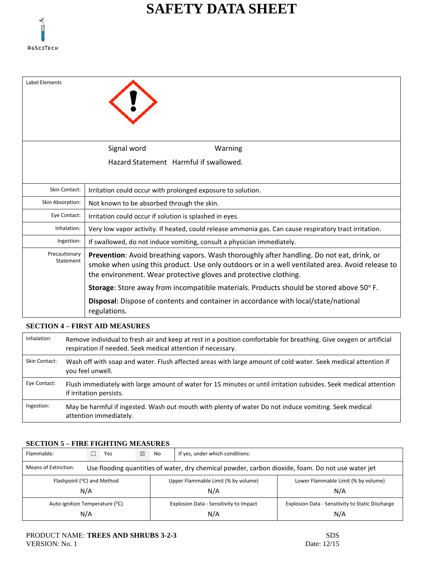

| Label Elements             |                                                                                                                                                                                                                                                                  |
|----------------------------|------------------------------------------------------------------------------------------------------------------------------------------------------------------------------------------------------------------------------------------------------------------|
|                            | Signal word<br>Warning                                                                                                                                                                                                                                           |
|                            | Hazard Statement Harmful if swallowed.                                                                                                                                                                                                                           |
| Skin Contact:              | Irritation could occur with prolonged exposure to solution.                                                                                                                                                                                                      |
| Skin Absorption:           | Not known to be absorbed through the skin.                                                                                                                                                                                                                       |
| Eye Contact:               | Irritation could occur if solution is splashed in eyes.                                                                                                                                                                                                          |
| Inhalation:                | Very low vapor activity. If heated, could release ammonia gas. Can cause respiratory tract irritation.                                                                                                                                                           |
| Ingestion:                 | If swallowed, do not induce vomiting, consult a physician immediately.                                                                                                                                                                                           |
| Precautionary<br>Statement | Prevention: Avoid breathing vapors. Wash thoroughly after handling. Do not eat, drink, or<br>smoke when using this product. Use only outdoors or in a well ventilated area. Avoid release to<br>the environment. Wear protective gloves and protective clothing. |
|                            | <b>Storage:</b> Store away from incompatible materials. Products should be stored above 50° F.                                                                                                                                                                   |
|                            | Disposal: Dispose of contents and container in accordance with local/state/national<br>regulations.                                                                                                                                                              |

## **SECTION 4 – FIRST AID MEASURES**

| Inhalation:   | Remove individual to fresh air and keep at rest in a position comfortable for breathing. Give oxygen or artificial<br>respiration if needed. Seek medical attention if necessary. |
|---------------|-----------------------------------------------------------------------------------------------------------------------------------------------------------------------------------|
| Skin Contact: | Wash off with soap and water. Flush affected areas with large amount of cold water. Seek medical attention if<br>you feel unwell.                                                 |
| Eye Contact:  | Flush immediately with large amount of water for 15 minutes or until irritation subsides. Seek medical attention<br>if irritation persists.                                       |
| Ingestion:    | May be harmful if ingested. Wash out mouth with plenty of water Do not induce vomiting. Seek medical<br>attention immediately.                                                    |

### **SECTION 5 – FIRE FIGHTING MEASURES**

| Flammable:                                                                                                                |  | Yes                                           | ⊠                                   | No                                                      | If yes, under which conditions: |  |  |  |  |
|---------------------------------------------------------------------------------------------------------------------------|--|-----------------------------------------------|-------------------------------------|---------------------------------------------------------|---------------------------------|--|--|--|--|
| Means of Extinction:<br>Use flooding quantities of water, dry chemical powder, carbon dioxide, foam. Do not use water jet |  |                                               |                                     |                                                         |                                 |  |  |  |  |
| Flashpoint ( <sup>o</sup> C) and Method<br>N/A                                                                            |  |                                               | Upper Flammable Limit (% by volume) | Lower Flammable Limit (% by volume)<br>N/A              |                                 |  |  |  |  |
| Auto-ignition Temperature (°C)<br>N/A                                                                                     |  | Explosion Data - Sensitivity to Impact<br>N/A |                                     | Explosion Data - Sensitivity to Static Discharge<br>N/A |                                 |  |  |  |  |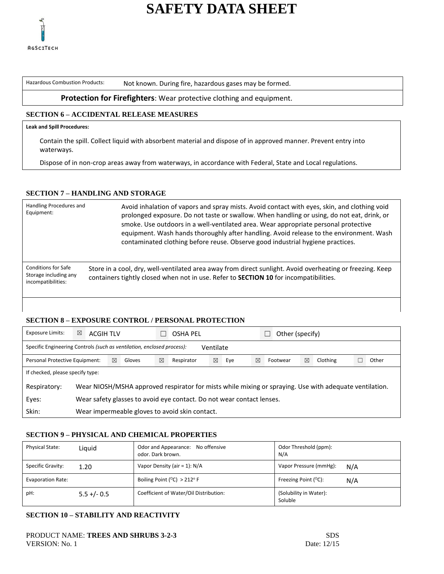

Hazardous Combustion Products: Not known. During fire, hazardous gases may be formed.

### **Protection for Firefighters**: Wear protective clothing and equipment.

## **SECTION 6 – ACCIDENTAL RELEASE MEASURES**

#### **Leak and Spill Procedures:**

Contain the spill. Collect liquid with absorbent material and dispose of in approved manner. Prevent entry into waterways.

Dispose of in non-crop areas away from waterways, in accordance with Federal, State and Local regulations.

## **SECTION 7 – HANDLING AND STORAGE**

| Handling Procedures and<br>Equipment:                                     | Avoid inhalation of vapors and spray mists. Avoid contact with eyes, skin, and clothing void<br>prolonged exposure. Do not taste or swallow. When handling or using, do not eat, drink, or<br>smoke. Use outdoors in a well-ventilated area. Wear appropriate personal protective<br>equipment. Wash hands thoroughly after handling. Avoid release to the environment. Wash<br>contaminated clothing before reuse. Observe good industrial hygiene practices. |
|---------------------------------------------------------------------------|----------------------------------------------------------------------------------------------------------------------------------------------------------------------------------------------------------------------------------------------------------------------------------------------------------------------------------------------------------------------------------------------------------------------------------------------------------------|
| <b>Conditions for Safe</b><br>Storage including any<br>incompatibilities: | Store in a cool, dry, well-ventilated area away from direct sunlight. Avoid overheating or freezing. Keep<br>containers tightly closed when not in use. Refer to <b>SECTION 10</b> for incompatibilities.                                                                                                                                                                                                                                                      |

## **SECTION 8 – EXPOSURE CONTROL / PERSONAL PROTECTION**

| Exposure Limits:                                                                    | ⊠<br><b>ACGIH TLV</b>                                                                                  |  |  |   | Other (specify)<br>OSHA PEL |   |     |   |          |   |          |       |
|-------------------------------------------------------------------------------------|--------------------------------------------------------------------------------------------------------|--|--|---|-----------------------------|---|-----|---|----------|---|----------|-------|
| Specific Engineering Controls (such as ventilation, enclosed process):<br>Ventilate |                                                                                                        |  |  |   |                             |   |     |   |          |   |          |       |
| ⊠<br>Personal Protective Equipment:<br>Gloves                                       |                                                                                                        |  |  | ⊠ | Respirator                  | ⊠ | Eye | ⊠ | Footwear | ⊠ | Clothing | Other |
|                                                                                     | If checked, please specify type:                                                                       |  |  |   |                             |   |     |   |          |   |          |       |
| Respiratory:                                                                        | Wear NIOSH/MSHA approved respirator for mists while mixing or spraying. Use with adequate ventilation. |  |  |   |                             |   |     |   |          |   |          |       |
| Eyes:                                                                               | Wear safety glasses to avoid eye contact. Do not wear contact lenses.                                  |  |  |   |                             |   |     |   |          |   |          |       |
| Skin:                                                                               | Wear impermeable gloves to avoid skin contact.                                                         |  |  |   |                             |   |     |   |          |   |          |       |

### **SECTION 9 – PHYSICAL AND CHEMICAL PROPERTIES**

| <b>Physical State:</b> | Liguid         | Odor and Appearance: No offensive<br>odor. Dark brown. | Odor Threshold (ppm):<br>N/A          |
|------------------------|----------------|--------------------------------------------------------|---------------------------------------|
| Specific Gravity:      | 1.20           | Vapor Density (air = 1): $N/A$                         | Vapor Pressure (mmHg):<br>N/A         |
| Evaporation Rate:      |                | Boiling Point ( $^{\circ}$ C) > 212 $^{\circ}$ F       | Freezing Point $(^{\circ}C)$ :<br>N/A |
| pH:                    | $5.5 + (-0.5)$ | Coefficient of Water/Oil Distribution:                 | (Solubility in Water):<br>Soluble     |

## **SECTION 10 – STABILITY AND REACTIVITY**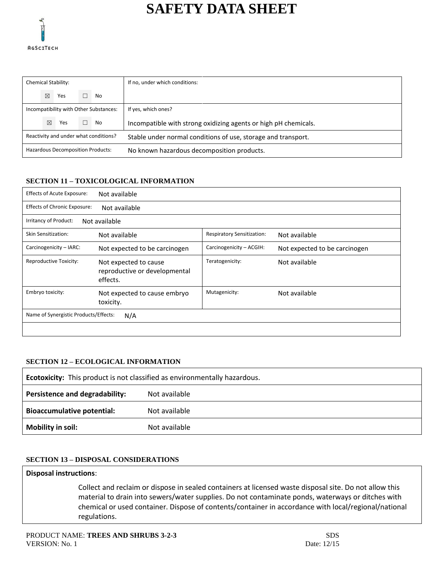

|                                       |             | <b>Chemical Stability:</b> |                                                               |                                        | If no, under which conditions:                                  |
|---------------------------------------|-------------|----------------------------|---------------------------------------------------------------|----------------------------------------|-----------------------------------------------------------------|
|                                       | $\boxtimes$ | Yes                        |                                                               | No                                     |                                                                 |
|                                       |             |                            |                                                               | Incompatibility with Other Substances: | If yes, which ones?                                             |
|                                       | ⊠           | Yes                        |                                                               | $\Box$ No                              | Incompatible with strong oxidizing agents or high pH chemicals. |
| Reactivity and under what conditions? |             |                            | Stable under normal conditions of use, storage and transport. |                                        |                                                                 |
| Hazardous Decomposition Products:     |             |                            | No known hazardous decomposition products.                    |                                        |                                                                 |

## **SECTION 11 – TOXICOLOGICAL INFORMATION**

| <b>Effects of Acute Exposure:</b>            | Not available                                                      |                            |                               |  |  |  |
|----------------------------------------------|--------------------------------------------------------------------|----------------------------|-------------------------------|--|--|--|
| <b>Effects of Chronic Exposure:</b>          | Not available                                                      |                            |                               |  |  |  |
| Irritancy of Product:                        | Not available                                                      |                            |                               |  |  |  |
| Skin Sensitization:                          | Not available                                                      | Respiratory Sensitization: | Not available                 |  |  |  |
| Carcinogenicity - IARC:                      | Not expected to be carcinogen                                      | Carcinogenicity - ACGIH:   | Not expected to be carcinogen |  |  |  |
| Reproductive Toxicity:                       | Not expected to cause<br>reproductive or developmental<br>effects. | Teratogenicity:            | Not available                 |  |  |  |
| Embryo toxicity:                             | Not expected to cause embryo<br>toxicity.                          | Mutagenicity:              | Not available                 |  |  |  |
| Name of Synergistic Products/Effects:<br>N/A |                                                                    |                            |                               |  |  |  |
|                                              |                                                                    |                            |                               |  |  |  |

### **SECTION 12 – ECOLOGICAL INFORMATION**

| <b>Ecotoxicity:</b> This product is not classified as environmentally hazardous. |               |  |  |  |
|----------------------------------------------------------------------------------|---------------|--|--|--|
| Persistence and degradability:                                                   | Not available |  |  |  |
| <b>Bioaccumulative potential:</b>                                                | Not available |  |  |  |
| <b>Mobility in soil:</b>                                                         | Not available |  |  |  |

## **SECTION 13 – DISPOSAL CONSIDERATIONS**

### **Disposal instructions**:

Collect and reclaim or dispose in sealed containers at licensed waste disposal site. Do not allow this material to drain into sewers/water supplies. Do not contaminate ponds, waterways or ditches with chemical or used container. Dispose of contents/container in accordance with local/regional/national regulations.